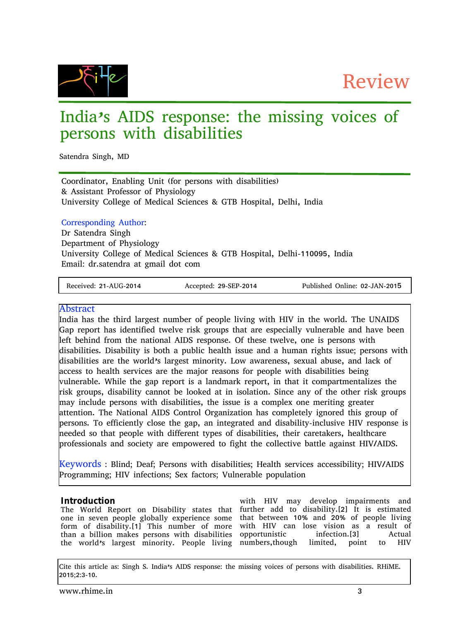Review



# India's AIDS response: the missing voices of persons with disabilities

Satendra Singh, MD

Coordinator, Enabling Unit (for persons with disabilities) & Assistant Professor of Physiology University College of Medical Sciences & GTB Hospital, Delhi, India

# Corresponding Author:

Dr Satendra Singh Department of Physiology University College of Medical Sciences & GTB Hospital, Delhi-110095, India Email: dr.satendra at gmail dot com

Received: 21-AUG-2014 Accepted: 29-SEP-2014 Published Online: 02-JAN-2015

# Abstract

India has the third largest number of people living with HIV in the world. The UNAIDS Gap report has identified twelve risk groups that are especially vulnerable and have been left behind from the national AIDS response. Of these twelve, one is persons with disabilities. Disability is both a public health issue and a human rights issue; persons with disabilities are the world's largest minority. Low awareness, sexual abuse, and lack of access to health services are the major reasons for people with disabilities being vulnerable. While the gap report is a landmark report, in that it compartmentalizes the risk groups, disability cannot be looked at in isolation. Since any of the other risk groups may include persons with disabilities, the issue is a complex one meriting greater attention. The National AIDS Control Organization has completely ignored this group of persons. To efficiently close the gap, an integrated and disability-inclusive HIV response is needed so that people with different types of disabilities, their caretakers, healthcare professionals and society are empowered to fight the collective battle against HIV/AIDS.

Keywords : Blind; Deaf; Persons with disabilities; Health services accessibility; HIV/AIDS Programming; HIV infections; Sex factors; Vulnerable population

# **Introduction**

The World Report on Disability states that further add to disability.[2] It is estimated one in seven people globally experience some form of disability.[1] This number of more than a billion makes persons with disabilities opportunistic infection.<sup>[3]</sup> Actual the world's largest minority. People living numbers,though limited, point to HIV

with HIV may develop impairments and that between 10% and 20% of people living with HIV can lose vision as a result of

Cite this article as: Singh S. India's AIDS response: the missing voices of persons with disabilities. RHiME. 2015;2:3-10.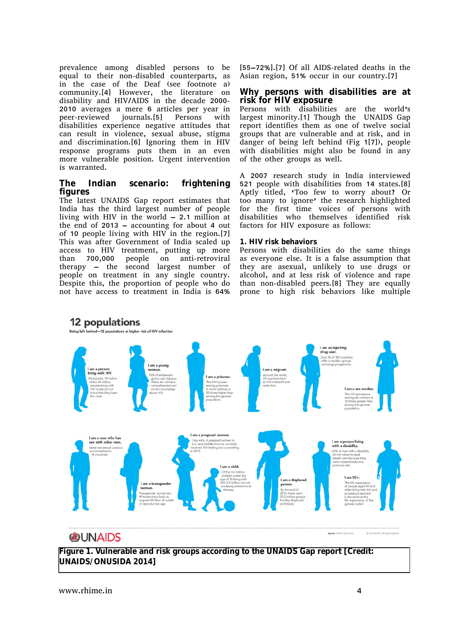prevalence among disabled persons to be equal to their non-disabled counterparts, as in the case of the Deaf (see footnote a) community.[4] However, the literature on disability and HIV/AIDS in the decade 2000- 2010 averages a mere 6 articles per year in peer-reviewed journals.[5] Persons with disabilities experience negative attitudes that can result in violence, sexual abuse, stigma and discrimination.[6] Ignoring them in HIV response programs puts them in an even more vulnerable position. Urgent intervention is warranted.

# **The Indian scenario: frightening figures**

The latest UNAIDS Gap report estimates that India has the third largest number of people living with HIV in the world – 2.1 million at the end of 2013 – accounting for about 4 out of 10 people living with HIV in the region.[7] This was after Government of India scaled up access to HIV treatment, putting up more than 700,000 people on anti-retroviral therapy – the second largest number of people on treatment in any single country. Despite this, the proportion of people who do not have access to treatment in India is 64%

[55–72%].[7] Of all AIDS-related deaths in the Asian region, 51% occur in our country.[7]

#### **Why persons with disabilities are at risk for HIV exposure**

Persons with disabilities are the world's largest minority.[1] Though the UNAIDS Gap report identifies them as one of twelve social groups that are vulnerable and at risk, and in danger of being left behind (Fig 1[7]), people with disabilities might also be found in any of the other groups as well.

A 2007 research study in India interviewed 521 people with disabilities from 14 states.[8] Aptly titled, 'Too few to worry about? Or too many to ignore' the research highlighted for the first time voices of persons with disabilities who themselves identified risk factors for HIV exposure as follows:

#### **1. HIV risk behaviors**

Persons with disabilities do the same things as everyone else. It is a false assumption that they are asexual, unlikely to use drugs or alcohol, and at less risk of violence and rape than non-disabled peers.[8] They are equally prone to high risk behaviors like multiple



# **ODUNAIDS**

Source: UNAIDS Gap report @ 2014 UNAIDS, All rights reserved.

**Figure 1. Vulnerable and risk groups according to the UNAIDS Gap report [Credit: UNAIDS/ONUSIDA 2014]**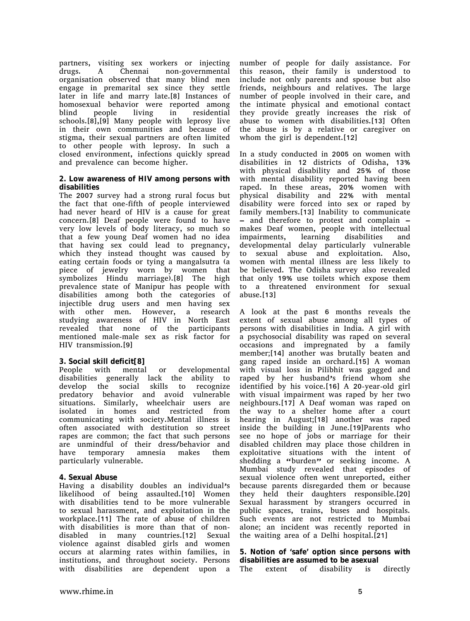partners, visiting sex workers or injecting drugs. A Chennai non-governmental organisation observed that many blind men engage in premarital sex since they settle later in life and marry late.[8] Instances of homosexual behavior were reported among blind people living in residential schools.[8],[9] Many people with leprosy live in their own communities and because of stigma, their sexual partners are often limited to other people with leprosy. In such a closed environment, infections quickly spread and prevalence can become higher.

#### **2. Low awareness of HIV among persons with disabilities**

The 2007 survey had a strong rural focus but the fact that one-fifth of people interviewed had never heard of HIV is a cause for great concern.[8] Deaf people were found to have very low levels of body literacy, so much so that a few young Deaf women had no idea that having sex could lead to pregnancy, which they instead thought was caused by eating certain foods or tying a mangalsutra (a piece of jewelry worn by women that symbolizes Hindu marriage).[8] The high prevalence state of Manipur has people with disabilities among both the categories of injectible drug users and men having sex with other men. However, a research studying awareness of HIV in North East revealed that none of the participants mentioned male-male sex as risk factor for HIV transmission.[9]

# **3. Social skill deficit[8]**

People with mental or developmental disabilities generally lack the ability to develop the social skills to recognize predatory behavior and avoid vulnerable situations. Similarly, wheelchair users are isolated in homes and restricted from communicating with society.Mental illness is often associated with destitution so street rapes are common; the fact that such persons are unmindful of their dress/behavior and have temporary amnesia makes them particularly vulnerable.

### **4. Sexual Abuse**

Having a disability doubles an individual's likelihood of being assaulted.[10] Women with disabilities tend to be more vulnerable to sexual harassment, and exploitation in the workplace.[11] The rate of abuse of children with disabilities is more than that of nondisabled in many countries.[12] Sexual violence against disabled girls and women occurs at alarming rates within families, in institutions, and throughout society. Persons with disabilities are dependent upon a

number of people for daily assistance. For this reason, their family is understood to include not only parents and spouse but also friends, neighbours and relatives. The large number of people involved in their care, and the intimate physical and emotional contact they provide greatly increases the risk of abuse to women with disabilities.[13] Often the abuse is by a relative or caregiver on whom the girl is dependent.[12]

In a study conducted in 2005 on women with disabilities in 12 districts of Odisha, 13% with physical disability and 25% of those with mental disability reported having been raped. In these areas, 20% women with physical disability and 22% with mental disability were forced into sex or raped by family members.[13] Inability to communicate – and therefore to protest and complain – makes Deaf women, people with intellectual impairments, learning disabilities and developmental delay particularly vulnerable to sexual abuse and exploitation. Also, women with mental illness are less likely to be believed. The Odisha survey also revealed that only 19% use toilets which expose them to a threatened environment for sexual abuse.[13]

A look at the past 6 months reveals the extent of sexual abuse among all types of persons with disabilities in India. A girl with a psychosocial disability was raped on several occasions and impregnated by a family member;[14] another was brutally beaten and gang raped inside an orchard.[15] A woman with visual loss in Pilibhit was gagged and raped by her husband's friend whom she identified by his voice.[16] A 20-year-old girl with visual impairment was raped by her two neighbours.[17] A Deaf woman was raped on the way to a shelter home after a court hearing in August;[18] another was raped inside the building in June.[19]Parents who see no hope of jobs or marriage for their disabled children may place those children in exploitative situations with the intent of shedding a "burden" or seeking income. A Mumbai study revealed that episodes of sexual violence often went unreported, either because parents disregarded them or because they held their daughters responsible.[20] Sexual harassment by strangers occurred in public spaces, trains, buses and hospitals. Such events are not restricted to Mumbai alone; an incident was recently reported in the waiting area of a Delhi hospital.[21]

**5. Notion of 'safe' option since persons with disabilities are assumed to be asexual**

The extent of disability is directly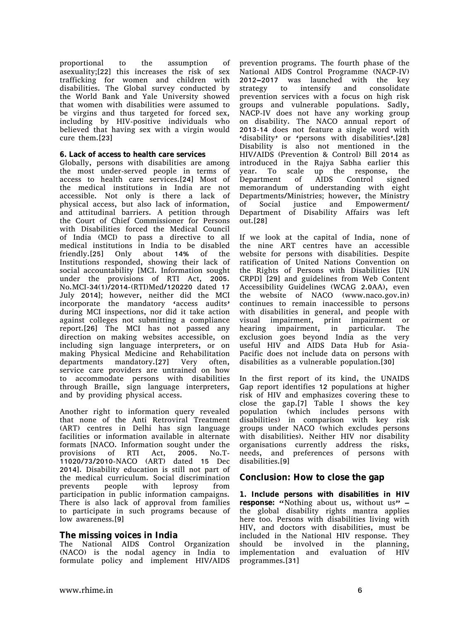proportional to the assumption of asexuality;[22] this increases the risk of sex trafficking for women and children with disabilities. The Global survey conducted by the World Bank and Yale University showed that women with disabilities were assumed to be virgins and thus targeted for forced sex, including by HIV-positive individuals who believed that having sex with a virgin would cure them.[23]

#### **6. Lack of access to health care services**

Globally, persons with disabilities are among the most under-served people in terms of access to health care services.[24] Most of the medical institutions in India are not accessible. Not only is there a lack of physical access, but also lack of information, and attitudinal barriers. A petition through the Court of Chief Commissioner for Persons with Disabilities forced the Medical Council of India (MCI) to pass a directive to all medical institutions in India to be disabled friendly.[25] Only about 14% of the Institutions responded, showing their lack of social accountability [MCI. Information sought under the provisions of RTI Act, 2005. No.MCI-34(1)/2014-(RTI)Med/120220 dated 17 July 2014]; however, neither did the MCI incorporate the mandatory 'access audits' during MCI inspections, nor did it take action against colleges not submitting a compliance report.[26] The MCI has not passed any direction on making websites accessible, on including sign language interpreters, or on making Physical Medicine and Rehabilitation departments mandatory.[27] Very often, service care providers are untrained on how to accommodate persons with disabilities through Braille, sign language interpreters, and by providing physical access.

Another right to information query revealed that none of the Anti Retroviral Treatment (ART) centres in Delhi has sign language facilities or information available in alternate formats [NACO. Information sought under the provisions of RTI Act, 2005. No.T-11020/73/2010-NACO (ART) dated 15 Dec 2014]. Disability education is still not part of the medical curriculum. Social discrimination prevents people with leprosy from participation in public information campaigns. There is also lack of approval from families to participate in such programs because of low awareness.[9]

### **The missing voices in India**

The National AIDS Control Organization (NACO) is the nodal agency in India to formulate policy and implement HIV/AIDS prevention programs. The fourth phase of the National AIDS Control Programme (NACP-IV) 2012–2017 was launched with the key strategy to intensify and consolidate prevention services with a focus on high risk groups and vulnerable populations. Sadly, NACP-IV does not have any working group on disability. The NACO annual report of 2013-14 does not feature a single word with 'disability' or 'persons with disabilities'.[28] Disability is also not mentioned in the HIV/AIDS (Prevention & Control) Bill 2014 as introduced in the Rajya Sabha earlier this year. To scale up the response, the Department of AIDS Control signed memorandum of understanding with eight Departments/Ministries; however, the Ministry of Social justice and Empowerment/ Department of Disability Affairs was left out.[28]

If we look at the capital of India, none of the nine ART centres have an accessible website for persons with disabilities. Despite ratification of United Nations Convention on the Rights of Persons with Disabilities [UN CRPD] [29] and guidelines from Web Content Accessibility Guidelines (WCAG 2.0AA), even the website of NACO (www.naco.gov.in) continues to remain inaccessible to persons with disabilities in general, and people with visual impairment, print impairment or hearing impairment, in particular. The exclusion goes beyond India as the very useful HIV and AIDS Data Hub for Asia-Pacific does not include data on persons with disabilities as a vulnerable population.[30]

In the first report of its kind, the UNAIDS Gap report identifies 12 populations at higher risk of HIV and emphasizes covering these to close the gap.[7] Table I shows the key population (which includes persons with disabilities) in comparison with key risk groups under NACO (which excludes persons with disabilities). Neither HIV nor disability organisations currently address the risks, needs, and preferences of persons with disabilities.[9]

# **Conclusion: How to close the gap**

**1. Include persons with disabilities in HIV** response: "Nothing about us, without us" the global disability rights mantra applies here too. Persons with disabilities living with HIV, and doctors with disabilities, must be included in the National HIV response. They should be involved in the planning, implementation and evaluation of HIV programmes.[31]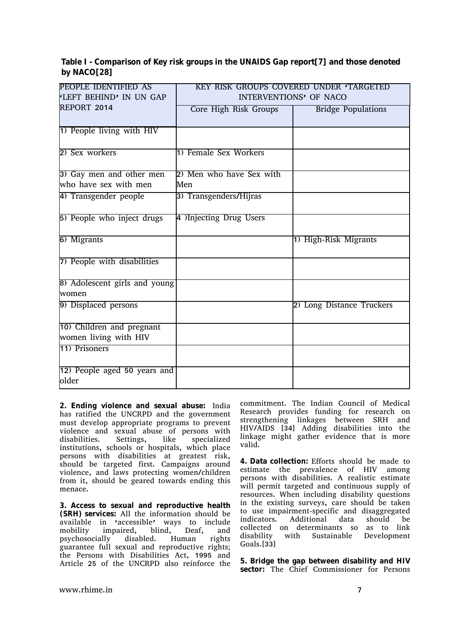**Table I Comparison of Key risk groups in the UNAIDS Gap report[7] and those denoted by NACO[28]**

| PEOPLE IDENTIFIED AS           | KEY RISK GROUPS COVERED UNDER TARGETED |                           |
|--------------------------------|----------------------------------------|---------------------------|
| <b>ELEFT BEHIND' IN UN GAP</b> | INTERVENTIONS' OF NACO                 |                           |
| REPORT 2014                    |                                        |                           |
|                                | Core High Risk Groups                  | <b>Bridge Populations</b> |
|                                |                                        |                           |
| 1) People living with HIV      |                                        |                           |
|                                |                                        |                           |
| 2) Sex workers                 | 1) Female Sex Workers                  |                           |
|                                |                                        |                           |
| 3) Gay men and other men       | 2) Men who have Sex with               |                           |
| who have sex with men          | Men                                    |                           |
| 4) Transgender people          | 3) Transgenders/Hijras                 |                           |
|                                |                                        |                           |
| 5) People who inject drugs     | 4 )Injecting Drug Users                |                           |
|                                |                                        |                           |
| 6) Migrants                    |                                        | 1) High-Risk Migrants     |
|                                |                                        |                           |
| 7) People with disabilities    |                                        |                           |
|                                |                                        |                           |
|                                |                                        |                           |
| 8) Adolescent girls and young  |                                        |                           |
| lwomen                         |                                        |                           |
| 9) Displaced persons           |                                        | 2) Long Distance Truckers |
|                                |                                        |                           |
| 10) Children and pregnant      |                                        |                           |
| women living with HIV          |                                        |                           |
| 11) Prisoners                  |                                        |                           |
|                                |                                        |                           |
| 12) People aged 50 years and   |                                        |                           |
| older                          |                                        |                           |
|                                |                                        |                           |

**2. Ending violence and sexual abuse:** India has ratified the UNCRPD and the government must develop appropriate programs to prevent violence and sexual abuse of persons with disabilities. Settings, like specialized institutions, schools or hospitals, which place persons with disabilities at greatest risk, should be targeted first. Campaigns around violence, and laws protecting women/children from it, should be geared towards ending this menace.

**3. Access to sexual and reproductive health (SRH) services:** All the information should be available in 'accessible' ways to include mobility impaired, blind, Deaf, and psychosocially disabled. Human rights guarantee full sexual and reproductive rights; the Persons with Disabilities Act, 1995 and Article 25 of the UNCRPD also reinforce the

commitment. The Indian Council of Medical Research provides funding for research on strengthening linkages between SRH and HIV/AIDS [34] Adding disabilities into the linkage might gather evidence that is more valid.

**4. Data collection:** Efforts should be made to estimate the prevalence of HIV among persons with disabilities. A realistic estimate will permit targeted and continuous supply of resources. When including disability questions in the existing surveys, care should be taken to use impairment-specific and disaggregated indicators. Additional data should be collected on determinants so as to link disability with Sustainable Development Goals.[33]

**5. Bridge the gap between disability and HIV sector:** The Chief Commissioner for Persons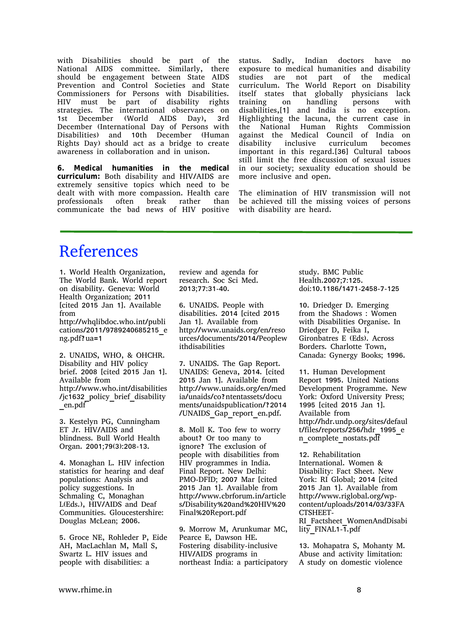with Disabilities should be part of the National AIDS committee. Similarly, there should be engagement between State AIDS Prevention and Control Societies and State Commissioners for Persons with Disabilities. HIV must be part of disability rights strategies. The international observances on 1st December (World AIDS Day), 3rd December (International Day of Persons with Disabilities) and 10th December (Human Rights Day) should act as a bridge to create awareness in collaboration and in unison.

**6. Medical humanities in the medical curriculum:** Both disability and HIV/AIDS are extremely sensitive topics which need to be dealt with with more compassion. Health care professionals often break rather than communicate the bad news of HIV positive status. Sadly, Indian doctors have no exposure to medical humanities and disability studies are not part of the medical curriculum. The World Report on Disability itself states that globally physicians lack training on handling persons with disabilities, [1] and India is no exception. Highlighting the lacuna, the current case in the National Human Rights Commission against the Medical Council of India on disability inclusive curriculum becomes important in this regard.[36] Cultural taboos still limit the free discussion of sexual issues in our society; sexuality education should be more inclusive and open.

The elimination of HIV transmission will not be achieved till the missing voices of persons with disability are heard.

# References

1. World Health Organization, The World Bank. World report on disability. Geneva: World Health Organization; 2011 [cited 2015 Jan 1]. Available from

http://whqlibdoc.who.int/publi cations/2011/9789240685215\_e ng.pdf?ua=1

2. UNAIDS, WHO, & OHCHR. Disability and HIV policy brief. 2008 [cited 2015 Jan 1]. Available from http://www.who.int/disabilities /jc1632\_policy\_brief\_disability \_en.pdf

3. Kestelyn PG, Cunningham ET Jr. HIV/AIDS and blindness. Bull World Health Organ. 2001;79(3):208-13.

4. Monaghan L. HIV infection statistics for hearing and deaf populations: Analysis and policy suggestions. In Schmaling C, Monaghan L(Eds.), HIV/AIDS and Deaf Communities. Gloucestershire: Douglas McLean; 2006.

5. Groce NE, Rohleder P, Eide AH, MacLachlan M, Mall S, Swartz L. HIV issues and people with disabilities: a

review and agenda for research. Soc Sci Med. 2013;77:31-40.

6. UNAIDS. People with disabilities. 2014 [cited 2015 Jan 1]. Available from http://www.unaids.org/en/reso urces/documents/2014/Peoplew ithdisabilities

7. UNAIDS. The Gap Report. UNAIDS: Geneva, 2014. [cited 2015 Jan 1]. Available from http://www.unaids.org/en/med ia/unaids/co?ntentassets/docu ments/unaidspublication/?2014 /UNAIDS\_Gap\_report\_en.pdf.

8. Moll K. Too few to worry about? Or too many to ignore? The exclusion of people with disabilities from HIV programmes in India. Final Report. New Delhi: PMO-DFID; 2007 Mar [cited 2015 Jan 1]. Available from http://www.cbrforum.in/article s/Disability%20and%20HIV%20 Final%20Report.pdf

9. Morrow M, Arunkumar MC, Pearce E, Dawson HE. Fostering disability-inclusive HIV/AIDS programs in northeast India: a participatory study. BMC Public Health.2007;7:125. doi:10.1186/1471-2458-7-125

10. Driedger D. Emerging from the Shadows : Women with Disabilities Organise. In Driedger D, Feika I, Gironbatres E (Eds). Across Borders. Charlotte Town, Canada: Gynergy Books; 1996.

11. Human Development Report 1995. United Nations Development Programme. New York: Oxford University Press; 1995 [cited 2015 Jan 1]. Available from http://hdr.undp.org/sites/defaul t/files/reports/256/hdr\_1995\_e n\_complete\_nostats.pdf

12. Rehabilitation International. Women & Disability: Fact Sheet. New York: RI Global; 2014 [cited 2015 Jan 1]. Available from http://www.riglobal.org/wpcontent/uploads/2014/03/33FA CTSHEET-RI\_Factsheet\_WomenAndDisabi lity\_FINAL1-1.pdf

13. Mohapatra S, Mohanty M. Abuse and activity limitation: A study on domestic violence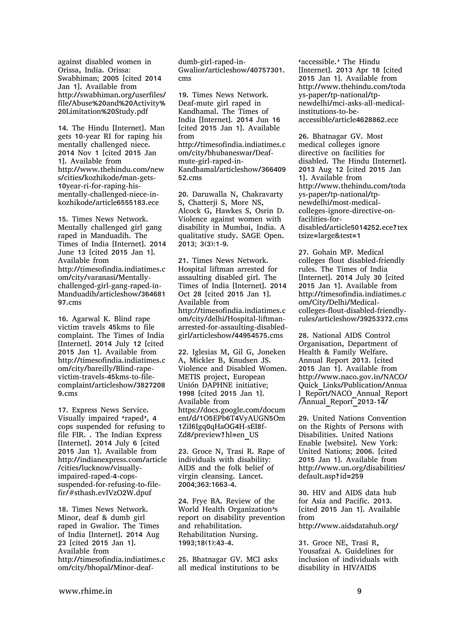against disabled women in Orissa, India. Orissa: Swabhiman; 2005 [cited 2014 Jan 1]. Available from http://swabhiman.org/userfiles/ file/Abuse%20and%20Activity% 20Limitation%20Study.pdf

14. The Hindu [Internet]. Man gets 10-year RI for raping his mentally challenged niece. 2014 Nov 1 [cited 2015 Jan 1]. Available from http://www.thehindu.com/new s/cities/kozhikode/man-gets-10year-ri-for-raping-hismentally-challenged-niece-inkozhikode/article6555183.ece

15. Times News Network. Mentally challenged girl gang raped in Manduadih. The Times of India [Internet]. 2014 June 13 [cited 2015 Jan 1]. Available from http://timesofindia.indiatimes.c om/city/varanasi/Mentallychallenged-girl-gang-raped-in-Manduadih/articleshow/364681 97.cms

16. Agarwal K. Blind rape victim travels 45kms to file complaint. The Times of India [Internet]. 2014 July 12 [cited 2015 Jan 1]. Available from http://timesofindia.indiatimes.c om/city/bareilly/Blind-rapevictim-travels-45kms-to-filecomplaint/articleshow/3827208 9.cms

17. Express News Service. Visually impaired 'raped', 4 cops suspended for refusing to file FIR. . The Indian Express [Internet]. 2014 July 6 [cited 2015 Jan 1]. Available from http://indianexpress.com/article /cities/lucknow/visuallyimpaired-raped-4-copssuspended-for-refusing-to-filefir/#sthash.evIVzO2W.dpuf

18. Times News Network. Minor, deaf & dumb girl raped in Gwalior. The Times of India [Internet]. 2014 Aug 23 [cited 2015 Jan 1]. Available from http://timesofindia.indiatimes.c om/city/bhopal/Minor-deafdumb-girl-raped-in-Gwalior/articleshow/40757301. cms

19. Times News Network. Deaf-mute girl raped in Kandhamal. The Times of India [Internet]. 2014 Jun 16 [cited 2015 Jan 1]. Available from http://timesofindia.indiatimes.c om/city/bhubaneswar/Deafmute-girl-raped-in-Kandhamal/articleshow/366409 52.cms

20. Daruwalla N, Chakravarty S, Chatterji S, More NS, Alcock G, Hawkes S, Osrin D. Violence against women with disability in Mumbai, India. A qualitative study. SAGE Open. 2013; 3(3):1-9.

21. Times News Network. Hospital liftman arrested for assaulting disabled girl. The Times of India [Internet]. 2014 Oct 28 [cited 2015 Jan 1]. Available from http://timesofindia.indiatimes.c om/city/delhi/Hospital-liftmanarrested-for-assaulting-disabledgirl/articleshow/44954575.cms

22. Iglesias M, Gil G, Joneken A, Mickler B, Knudsen JS. Violence and Disabled Women. METIS project, European Unión DAPHNE initiative; 1998 [cited 2015 Jan 1]. Available from https://docs.google.com/docum ent/d/1O5EPb6T4VyAUGN5Om 1ZiI6Igq0qHaOG4H-sEI8f-Zd8/preview?hl=en\_US

23. Groce N, Trasi R. Rape of individuals with disability: AIDS and the folk belief of virgin cleansing. Lancet. 2004;363:1663-4.

24. Frye BA. Review of the World Health Organization's report on disability prevention and rehabilitation. Rehabilitation Nursing. 1993;18(1):43-4.

25. Bhatnagar GV. MCI asks all medical institutions to be

'accessible.' The Hindu [Internet]. 2013 Apr 18 [cited 2015 Jan 1]. Available from http://www.thehindu.com/toda ys-paper/tp-national/tpnewdelhi/mci-asks-all-medicalinstitutions-to-beaccessible/article4628862.ece

26. Bhatnagar GV. Most medical colleges ignore directive on facilities for disabled. The Hindu [Internet]. 2013 Aug 12 [cited 2015 Jan 1]. Available from http://www.thehindu.com/toda ys-paper/tp-national/tpnewdelhi/most-medicalcolleges-ignore-directive-onfacilities-fordisabled/article5014252.ece?tex tsize=large&test=1

27. Gohain MP. Medical colleges flout disabled-friendly rules. The Times of India [Internet]. 2014 July 30 [cited 2015 Jan 1]. Available from http://timesofindia.indiatimes.c om/City/Delhi/Medicalcolleges-flout-disabled-friendlyrules/articleshow/39253372.cms

28. National AIDS Control Organisation, Department of Health & Family Welfare. Annual Report 2013. [cited 2015 Jan 1]. Available from http://www.naco.gov.in/NACO/ Quick\_Links/Publication/Annua l\_Report/NACO\_Annual\_Report /Annual\_Report\_2013-14/

29. United Nations Convention on the Rights of Persons with Disabilities. United Nations Enable [website]. New York: United Nations; 2006. [cited 2015 Jan 1]. Available from http://www.un.org/disabilities/ default.asp?id=259

30. HIV and AIDS data hub for Asia and Pacific. 2013. [cited 2015 Jan 1]. Available from http://www.aidsdatahub.org/

31. Groce NE, Trasi R, Yousafzai A. Guidelines for inclusion of individuals with disability in HIV/AIDS